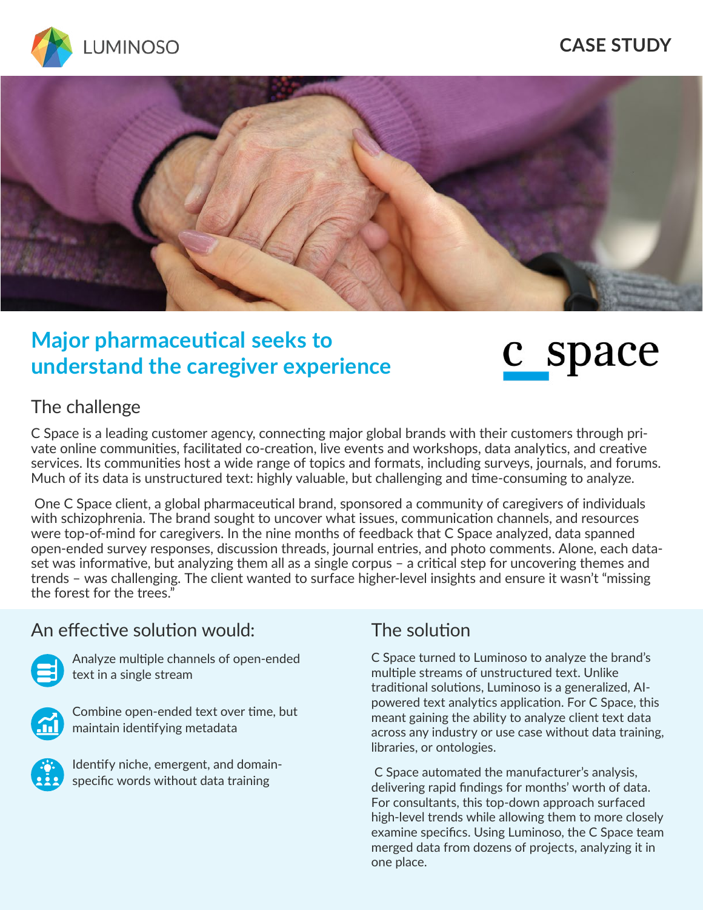

#### **CASE STUDY**



## **Major pharmaceutical seeks to understand the caregiver experience**

# c space

#### The challenge

C Space is a leading customer agency, connecting major global brands with their customers through private online communities, facilitated co-creation, live events and workshops, data analytics, and creative services. Its communities host a wide range of topics and formats, including surveys, journals, and forums. Much of its data is unstructured text: highly valuable, but challenging and time-consuming to analyze.

 One C Space client, a global pharmaceutical brand, sponsored a community of caregivers of individuals with schizophrenia. The brand sought to uncover what issues, communication channels, and resources were top-of-mind for caregivers. In the nine months of feedback that C Space analyzed, data spanned open-ended survey responses, discussion threads, journal entries, and photo comments. Alone, each dataset was informative, but analyzing them all as a single corpus – a critical step for uncovering themes and trends – was challenging. The client wanted to surface higher-level insights and ensure it wasn't "missing the forest for the trees."

#### An effective solution would:



Analyze multiple channels of open-ended text in a single stream



Combine open-ended text over time, but maintain identifying metadata



Identify niche, emergent, and domainspecific words without data training

### The solution

C Space turned to Luminoso to analyze the brand's multiple streams of unstructured text. Unlike traditional solutions, Luminoso is a generalized, AIpowered text analytics application. For C Space, this meant gaining the ability to analyze client text data across any industry or use case without data training, libraries, or ontologies.

 C Space automated the manufacturer's analysis, delivering rapid findings for months' worth of data. For consultants, this top-down approach surfaced high-level trends while allowing them to more closely examine specifics. Using Luminoso, the C Space team merged data from dozens of projects, analyzing it in one place.